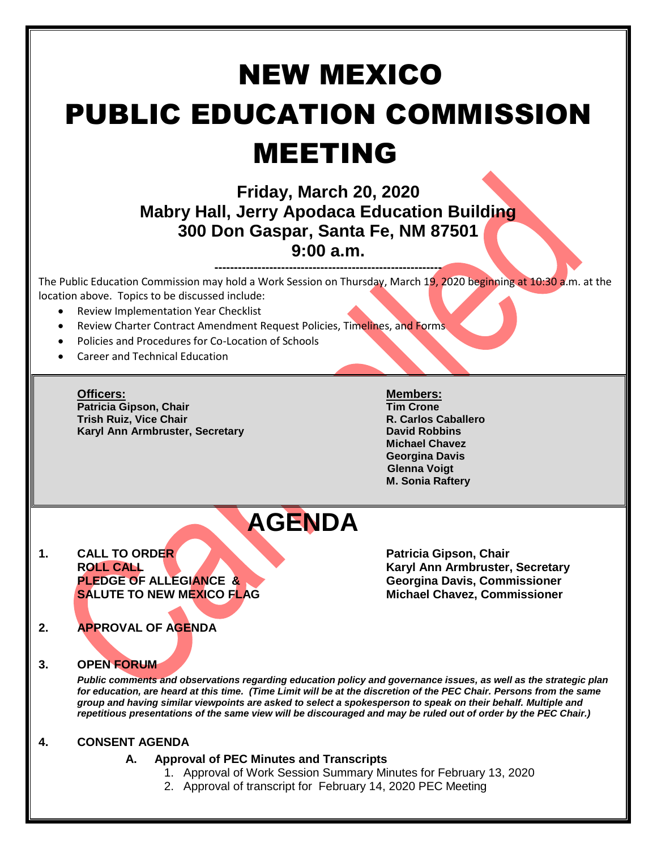# NEW MEXICO PUBLIC EDUCATION COMMISSION MEETING

### **Friday, March 20, 2020 Mabry Hall, Jerry Apodaca Education Building 300 Don Gaspar, Santa Fe, NM 87501 9:00 a.m.**

**----------------------------------------------------------** The Public Education Commission may hold a Work Session on Thursday, March 19, 2020 beginning at 10:30 a.m. at the location above. Topics to be discussed include:

- Review Implementation Year Checklist
- Review Charter Contract Amendment Request Policies, Timelines, and Forms
- Policies and Procedures for Co-Location of Schools
- Career and Technical Education

**Officers: Members: Patricia Gipson, Chair Tim Crone Trish Ruiz, Vice Chair Karyl Ann Armbruster, Secretary <b>David Robbins David Robbins** 

**Michael Chavez Georgina Davis Glenna Voigt M. Sonia Raftery**

## **AGENDA**

**1. CALL TO ORDER Patricia Gipson, Chair** 

**ROLL CALL Karyl Ann Armbruster, Secretary Georgina Davis, Commissioner SALUTE TO NEW MEXICO FLAG Michael Chavez, Commissioner**

#### **2. APPROVAL OF AGENDA**

#### **3. OPEN FORUM**

*Public comments and observations regarding education policy and governance issues, as well as the strategic plan for education, are heard at this time. (Time Limit will be at the discretion of the PEC Chair. Persons from the same group and having similar viewpoints are asked to select a spokesperson to speak on their behalf. Multiple and repetitious presentations of the same view will be discouraged and may be ruled out of order by the PEC Chair.)*

#### **4. CONSENT AGENDA**

#### **A. Approval of PEC Minutes and Transcripts**

- 1. Approval of Work Session Summary Minutes for February 13, 2020
- 2. Approval of transcript for February 14, 2020 PEC Meeting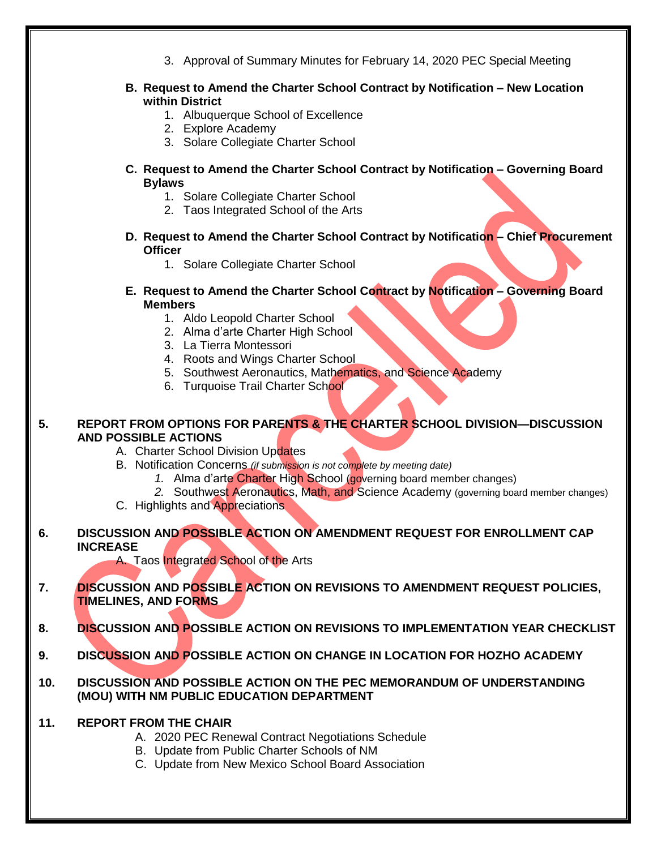- 3. Approval of Summary Minutes for February 14, 2020 PEC Special Meeting **B. Request to Amend the Charter School Contract by Notification – New Location within District** 1. Albuquerque School of Excellence 2. Explore Academy 3. Solare Collegiate Charter School **C. Request to Amend the Charter School Contract by Notification – Governing Board Bylaws** 1. Solare Collegiate Charter School 2. Taos Integrated School of the Arts **D. Request to Amend the Charter School Contract by Notification – Chief Procurement Officer** 1. Solare Collegiate Charter School **E. Request to Amend the Charter School Contract by Notification – Governing Board Members** 1. Aldo Leopold Charter School 2. Alma d'arte Charter High School 3. La Tierra Montessori 4. Roots and Wings Charter School 5. Southwest Aeronautics, Mathematics, and Science Academy 6. Turquoise Trail Charter School **5. REPORT FROM OPTIONS FOR PARENTS & THE CHARTER SCHOOL DIVISION—DISCUSSION AND POSSIBLE ACTIONS** A. Charter School Division Updates B. Notification Concerns *(if submission is not complete by meeting date) 1.* Alma d'arte Charter High School (governing board member changes) *2.* Southwest Aeronautics, Math, and Science Academy (governing board member changes) C. Highlights and Appreciations **6. DISCUSSION AND POSSIBLE ACTION ON AMENDMENT REQUEST FOR ENROLLMENT CAP INCREASE** A. Taos Integrated School of the Arts **7. DISCUSSION AND POSSIBLE ACTION ON REVISIONS TO AMENDMENT REQUEST POLICIES, TIMELINES, AND FORMS 8. DISCUSSION AND POSSIBLE ACTION ON REVISIONS TO IMPLEMENTATION YEAR CHECKLIST 9. DISCUSSION AND POSSIBLE ACTION ON CHANGE IN LOCATION FOR HOZHO ACADEMY 10. DISCUSSION AND POSSIBLE ACTION ON THE PEC MEMORANDUM OF UNDERSTANDING (MOU) WITH NM PUBLIC EDUCATION DEPARTMENT**
- **11. REPORT FROM THE CHAIR**
	- A. 2020 PEC Renewal Contract Negotiations Schedule
	- B. Update from Public Charter Schools of NM
	- C. Update from New Mexico School Board Association